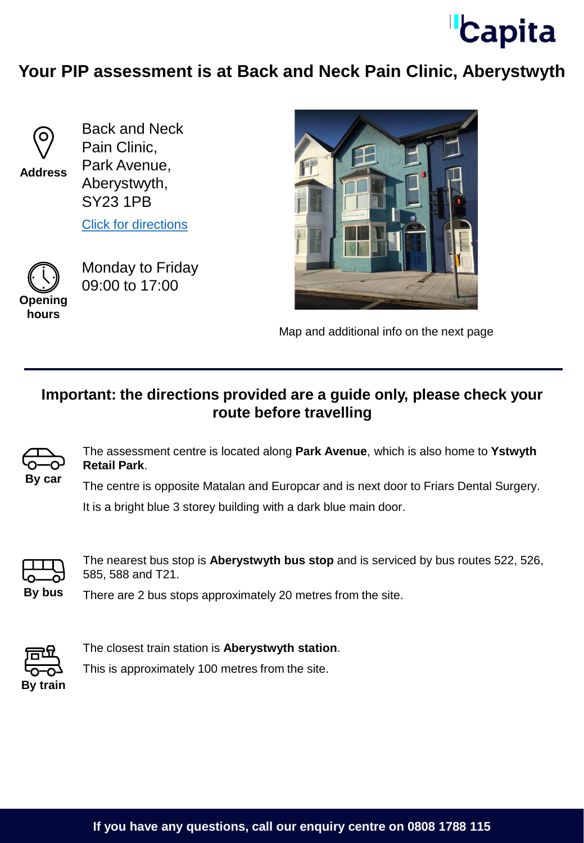

## **Your PIP assessment is at Back and Neck Pain Clinic, Aberystwyth**



**Address**

Back and Neck Pain Clinic, Park Avenue, Aberystwyth, SY23 1PB

[Click for directions](https://goo.gl/maps/4xkD9zczyBFvN63A9)



Monday to Friday 09:00 to 17:00

**hours**



Map and additional info on the next page

## **Important: the directions provided are a guide only, please check your route before travelling**



The assessment centre is located along **Park Avenue**, which is also home to **Ystwyth Retail Park**.

The centre is opposite Matalan and Europcar and is next door to Friars Dental Surgery. It is a bright blue 3 storey building with a dark blue main door.



The nearest bus stop is **Aberystwyth bus stop** and is serviced by bus routes 522, 526, 585, 588 and T21.

**By bus** There are 2 bus stops approximately 20 metres from the site.



The closest train station is **Aberystwyth station**.

This is approximately 100 metres from the site.